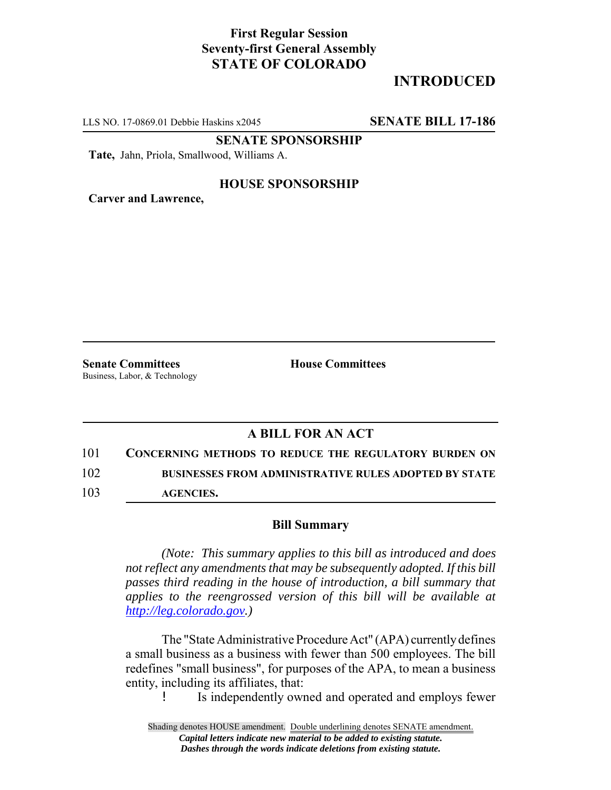## **First Regular Session Seventy-first General Assembly STATE OF COLORADO**

# **INTRODUCED**

LLS NO. 17-0869.01 Debbie Haskins x2045 **SENATE BILL 17-186**

**SENATE SPONSORSHIP**

**Tate,** Jahn, Priola, Smallwood, Williams A.

#### **HOUSE SPONSORSHIP**

**Carver and Lawrence,**

**Senate Committees House Committees** Business, Labor, & Technology

### **A BILL FOR AN ACT**

101 **CONCERNING METHODS TO REDUCE THE REGULATORY BURDEN ON** 

102 **BUSINESSES FROM ADMINISTRATIVE RULES ADOPTED BY STATE**

103 **AGENCIES.**

#### **Bill Summary**

*(Note: This summary applies to this bill as introduced and does not reflect any amendments that may be subsequently adopted. If this bill passes third reading in the house of introduction, a bill summary that applies to the reengrossed version of this bill will be available at http://leg.colorado.gov.)*

The "State Administrative Procedure Act" (APA) currently defines a small business as a business with fewer than 500 employees. The bill redefines "small business", for purposes of the APA, to mean a business entity, including its affiliates, that:

! Is independently owned and operated and employs fewer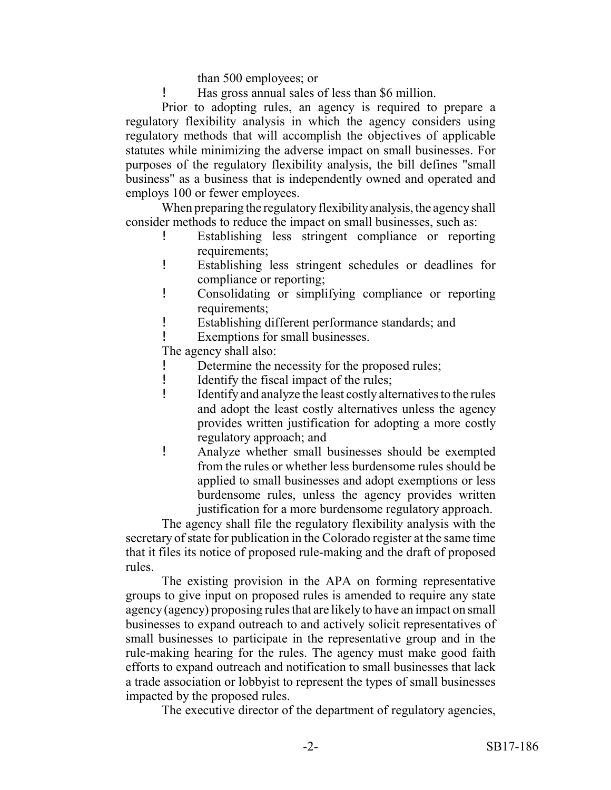than 500 employees; or

! Has gross annual sales of less than \$6 million.

Prior to adopting rules, an agency is required to prepare a regulatory flexibility analysis in which the agency considers using regulatory methods that will accomplish the objectives of applicable statutes while minimizing the adverse impact on small businesses. For purposes of the regulatory flexibility analysis, the bill defines "small business" as a business that is independently owned and operated and employs 100 or fewer employees.

When preparing the regulatory flexibility analysis, the agency shall consider methods to reduce the impact on small businesses, such as:

- ! Establishing less stringent compliance or reporting requirements;
- ! Establishing less stringent schedules or deadlines for compliance or reporting;
- ! Consolidating or simplifying compliance or reporting requirements;
- ! Establishing different performance standards; and
- Exemptions for small businesses.

The agency shall also:

- Determine the necessity for the proposed rules;
- ! Identify the fiscal impact of the rules;
- ! Identify and analyze the least costly alternatives to the rules and adopt the least costly alternatives unless the agency provides written justification for adopting a more costly regulatory approach; and
- ! Analyze whether small businesses should be exempted from the rules or whether less burdensome rules should be applied to small businesses and adopt exemptions or less burdensome rules, unless the agency provides written justification for a more burdensome regulatory approach.

The agency shall file the regulatory flexibility analysis with the secretary of state for publication in the Colorado register at the same time that it files its notice of proposed rule-making and the draft of proposed rules.

The existing provision in the APA on forming representative groups to give input on proposed rules is amended to require any state agency (agency) proposing rules that are likely to have an impact on small businesses to expand outreach to and actively solicit representatives of small businesses to participate in the representative group and in the rule-making hearing for the rules. The agency must make good faith efforts to expand outreach and notification to small businesses that lack a trade association or lobbyist to represent the types of small businesses impacted by the proposed rules.

The executive director of the department of regulatory agencies,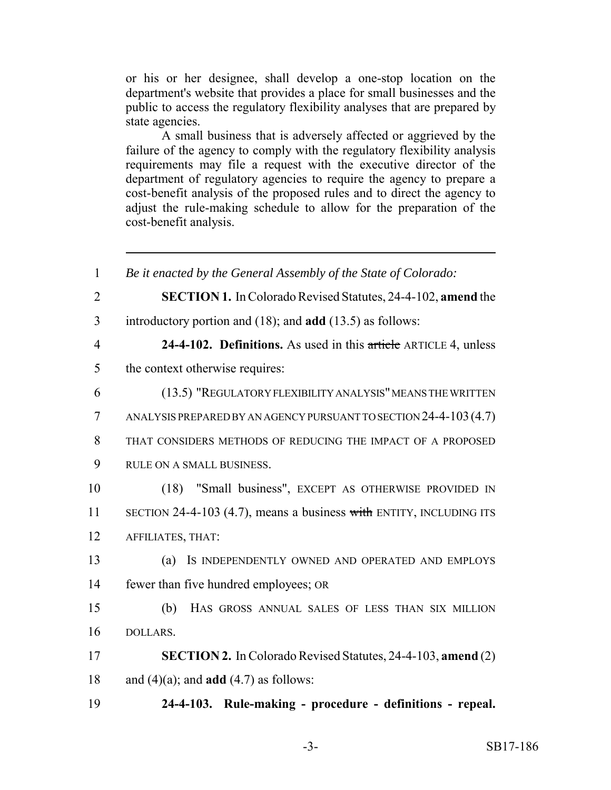or his or her designee, shall develop a one-stop location on the department's website that provides a place for small businesses and the public to access the regulatory flexibility analyses that are prepared by state agencies.

A small business that is adversely affected or aggrieved by the failure of the agency to comply with the regulatory flexibility analysis requirements may file a request with the executive director of the department of regulatory agencies to require the agency to prepare a cost-benefit analysis of the proposed rules and to direct the agency to adjust the rule-making schedule to allow for the preparation of the cost-benefit analysis.

 *Be it enacted by the General Assembly of the State of Colorado:* **SECTION 1.** In Colorado Revised Statutes, 24-4-102, **amend** the introductory portion and (18); and **add** (13.5) as follows: **24-4-102. Definitions.** As used in this article ARTICLE 4, unless the context otherwise requires: (13.5) "REGULATORY FLEXIBILITY ANALYSIS" MEANS THE WRITTEN ANALYSIS PREPARED BY AN AGENCY PURSUANT TO SECTION 24-4-103(4.7) THAT CONSIDERS METHODS OF REDUCING THE IMPACT OF A PROPOSED RULE ON A SMALL BUSINESS. (18) "Small business", EXCEPT AS OTHERWISE PROVIDED IN 11 SECTION 24-4-103 (4.7), means a business with ENTITY, INCLUDING ITS AFFILIATES, THAT: (a) IS INDEPENDENTLY OWNED AND OPERATED AND EMPLOYS fewer than five hundred employees; OR (b) HAS GROSS ANNUAL SALES OF LESS THAN SIX MILLION 16 DOLLARS. **SECTION 2.** In Colorado Revised Statutes, 24-4-103, **amend** (2) 18 and  $(4)(a)$ ; and **add**  $(4.7)$  as follows: **24-4-103. Rule-making - procedure - definitions - repeal.**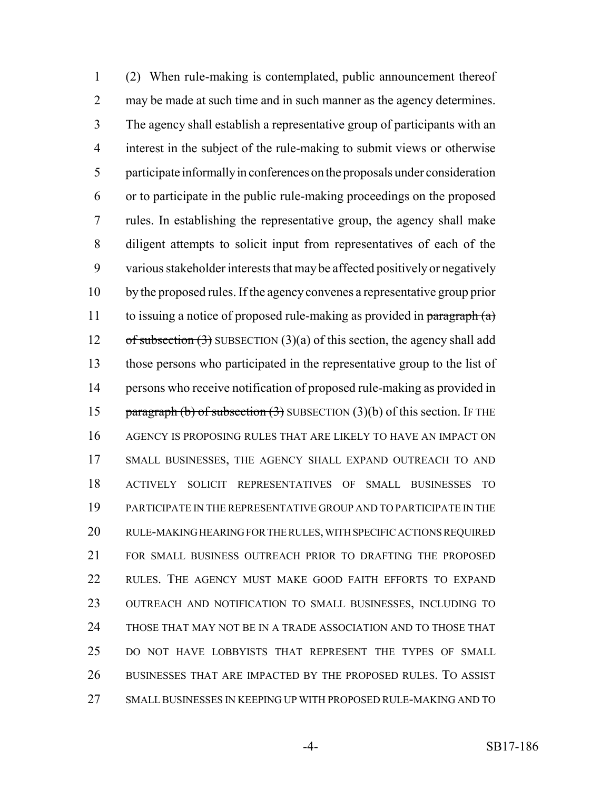(2) When rule-making is contemplated, public announcement thereof may be made at such time and in such manner as the agency determines. The agency shall establish a representative group of participants with an interest in the subject of the rule-making to submit views or otherwise participate informally in conferences on the proposals under consideration or to participate in the public rule-making proceedings on the proposed rules. In establishing the representative group, the agency shall make diligent attempts to solicit input from representatives of each of the various stakeholder interests that may be affected positively or negatively by the proposed rules. If the agency convenes a representative group prior 11 to issuing a notice of proposed rule-making as provided in paragraph  $(a)$ 12 of subsection  $(3)$  SUBSECTION  $(3)(a)$  of this section, the agency shall add those persons who participated in the representative group to the list of persons who receive notification of proposed rule-making as provided in 15 paragraph (b) of subsection (3) SUBSECTION (3)(b) of this section. IF THE AGENCY IS PROPOSING RULES THAT ARE LIKELY TO HAVE AN IMPACT ON SMALL BUSINESSES, THE AGENCY SHALL EXPAND OUTREACH TO AND ACTIVELY SOLICIT REPRESENTATIVES OF SMALL BUSINESSES TO PARTICIPATE IN THE REPRESENTATIVE GROUP AND TO PARTICIPATE IN THE RULE-MAKING HEARING FOR THE RULES, WITH SPECIFIC ACTIONS REQUIRED 21 FOR SMALL BUSINESS OUTREACH PRIOR TO DRAFTING THE PROPOSED RULES. THE AGENCY MUST MAKE GOOD FAITH EFFORTS TO EXPAND OUTREACH AND NOTIFICATION TO SMALL BUSINESSES, INCLUDING TO THOSE THAT MAY NOT BE IN A TRADE ASSOCIATION AND TO THOSE THAT DO NOT HAVE LOBBYISTS THAT REPRESENT THE TYPES OF SMALL BUSINESSES THAT ARE IMPACTED BY THE PROPOSED RULES. TO ASSIST SMALL BUSINESSES IN KEEPING UP WITH PROPOSED RULE-MAKING AND TO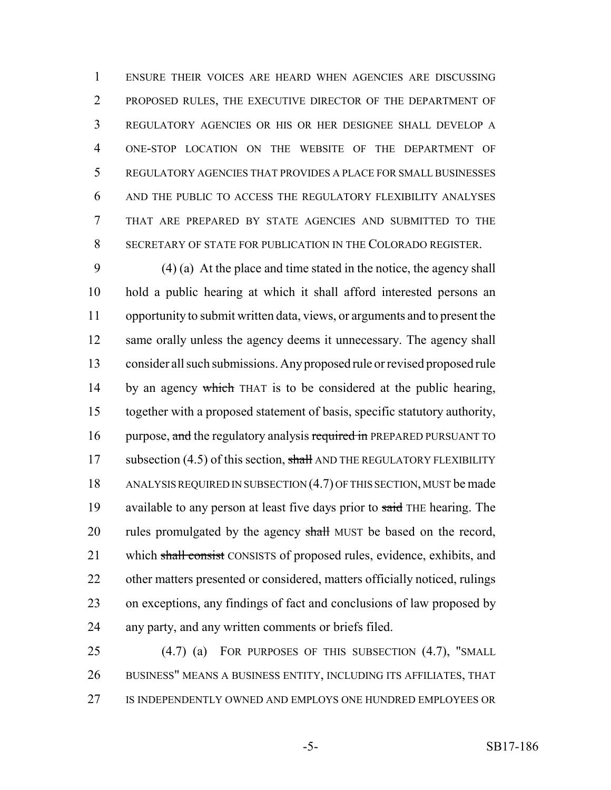ENSURE THEIR VOICES ARE HEARD WHEN AGENCIES ARE DISCUSSING PROPOSED RULES, THE EXECUTIVE DIRECTOR OF THE DEPARTMENT OF REGULATORY AGENCIES OR HIS OR HER DESIGNEE SHALL DEVELOP A ONE-STOP LOCATION ON THE WEBSITE OF THE DEPARTMENT OF REGULATORY AGENCIES THAT PROVIDES A PLACE FOR SMALL BUSINESSES AND THE PUBLIC TO ACCESS THE REGULATORY FLEXIBILITY ANALYSES THAT ARE PREPARED BY STATE AGENCIES AND SUBMITTED TO THE SECRETARY OF STATE FOR PUBLICATION IN THE COLORADO REGISTER.

 (4) (a) At the place and time stated in the notice, the agency shall hold a public hearing at which it shall afford interested persons an opportunity to submit written data, views, or arguments and to present the 12 same orally unless the agency deems it unnecessary. The agency shall consider all such submissions. Any proposed rule or revised proposed rule 14 by an agency which THAT is to be considered at the public hearing, together with a proposed statement of basis, specific statutory authority, 16 purpose, and the regulatory analysis required in PREPARED PURSUANT TO 17 subsection (4.5) of this section, shall AND THE REGULATORY FLEXIBILITY 18 ANALYSIS REQUIRED IN SUBSECTION (4.7) OF THIS SECTION, MUST be made 19 available to any person at least five days prior to said THE hearing. The 20 rules promulgated by the agency shall MUST be based on the record, 21 which shall consist CONSISTS of proposed rules, evidence, exhibits, and other matters presented or considered, matters officially noticed, rulings on exceptions, any findings of fact and conclusions of law proposed by any party, and any written comments or briefs filed.

 (4.7) (a) FOR PURPOSES OF THIS SUBSECTION (4.7), "SMALL BUSINESS" MEANS A BUSINESS ENTITY, INCLUDING ITS AFFILIATES, THAT IS INDEPENDENTLY OWNED AND EMPLOYS ONE HUNDRED EMPLOYEES OR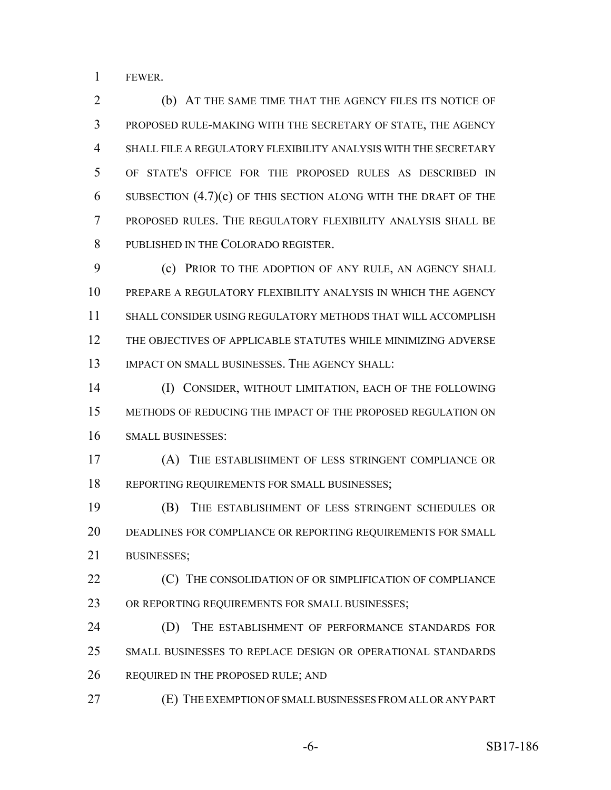FEWER.

 (b) AT THE SAME TIME THAT THE AGENCY FILES ITS NOTICE OF PROPOSED RULE-MAKING WITH THE SECRETARY OF STATE, THE AGENCY SHALL FILE A REGULATORY FLEXIBILITY ANALYSIS WITH THE SECRETARY OF STATE'S OFFICE FOR THE PROPOSED RULES AS DESCRIBED IN 6 SUBSECTION  $(4.7)(c)$  OF THIS SECTION ALONG WITH THE DRAFT OF THE PROPOSED RULES. THE REGULATORY FLEXIBILITY ANALYSIS SHALL BE PUBLISHED IN THE COLORADO REGISTER.

 (c) PRIOR TO THE ADOPTION OF ANY RULE, AN AGENCY SHALL PREPARE A REGULATORY FLEXIBILITY ANALYSIS IN WHICH THE AGENCY SHALL CONSIDER USING REGULATORY METHODS THAT WILL ACCOMPLISH THE OBJECTIVES OF APPLICABLE STATUTES WHILE MINIMIZING ADVERSE IMPACT ON SMALL BUSINESSES. THE AGENCY SHALL:

 (I) CONSIDER, WITHOUT LIMITATION, EACH OF THE FOLLOWING METHODS OF REDUCING THE IMPACT OF THE PROPOSED REGULATION ON SMALL BUSINESSES:

 (A) THE ESTABLISHMENT OF LESS STRINGENT COMPLIANCE OR 18 REPORTING REQUIREMENTS FOR SMALL BUSINESSES;

 (B) THE ESTABLISHMENT OF LESS STRINGENT SCHEDULES OR DEADLINES FOR COMPLIANCE OR REPORTING REQUIREMENTS FOR SMALL BUSINESSES;

**(C)** THE CONSOLIDATION OF OR SIMPLIFICATION OF COMPLIANCE 23 OR REPORTING REQUIREMENTS FOR SMALL BUSINESSES;

 (D) THE ESTABLISHMENT OF PERFORMANCE STANDARDS FOR SMALL BUSINESSES TO REPLACE DESIGN OR OPERATIONAL STANDARDS 26 REQUIRED IN THE PROPOSED RULE; AND

(E) THE EXEMPTION OF SMALL BUSINESSES FROM ALL OR ANY PART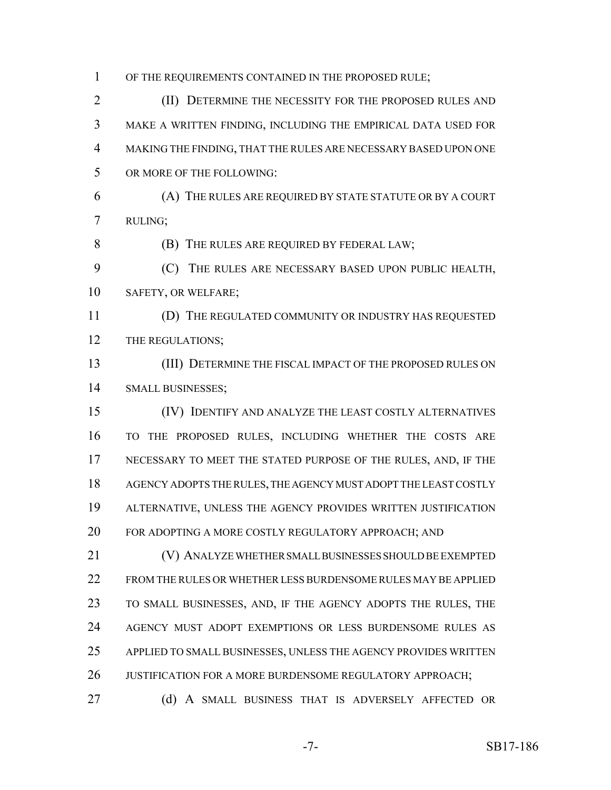OF THE REQUIREMENTS CONTAINED IN THE PROPOSED RULE;

2 (II) DETERMINE THE NECESSITY FOR THE PROPOSED RULES AND MAKE A WRITTEN FINDING, INCLUDING THE EMPIRICAL DATA USED FOR MAKING THE FINDING, THAT THE RULES ARE NECESSARY BASED UPON ONE OR MORE OF THE FOLLOWING:

 (A) THE RULES ARE REQUIRED BY STATE STATUTE OR BY A COURT RULING;

(B) THE RULES ARE REQUIRED BY FEDERAL LAW;

 (C) THE RULES ARE NECESSARY BASED UPON PUBLIC HEALTH, SAFETY, OR WELFARE;

 (D) THE REGULATED COMMUNITY OR INDUSTRY HAS REQUESTED 12 THE REGULATIONS;

 (III) DETERMINE THE FISCAL IMPACT OF THE PROPOSED RULES ON SMALL BUSINESSES;

 (IV) IDENTIFY AND ANALYZE THE LEAST COSTLY ALTERNATIVES TO THE PROPOSED RULES, INCLUDING WHETHER THE COSTS ARE NECESSARY TO MEET THE STATED PURPOSE OF THE RULES, AND, IF THE AGENCY ADOPTS THE RULES, THE AGENCY MUST ADOPT THE LEAST COSTLY ALTERNATIVE, UNLESS THE AGENCY PROVIDES WRITTEN JUSTIFICATION FOR ADOPTING A MORE COSTLY REGULATORY APPROACH; AND

 (V) ANALYZE WHETHER SMALL BUSINESSES SHOULD BE EXEMPTED FROM THE RULES OR WHETHER LESS BURDENSOME RULES MAY BE APPLIED TO SMALL BUSINESSES, AND, IF THE AGENCY ADOPTS THE RULES, THE AGENCY MUST ADOPT EXEMPTIONS OR LESS BURDENSOME RULES AS APPLIED TO SMALL BUSINESSES, UNLESS THE AGENCY PROVIDES WRITTEN 26 JUSTIFICATION FOR A MORE BURDENSOME REGULATORY APPROACH;

27 (d) A SMALL BUSINESS THAT IS ADVERSELY AFFECTED OR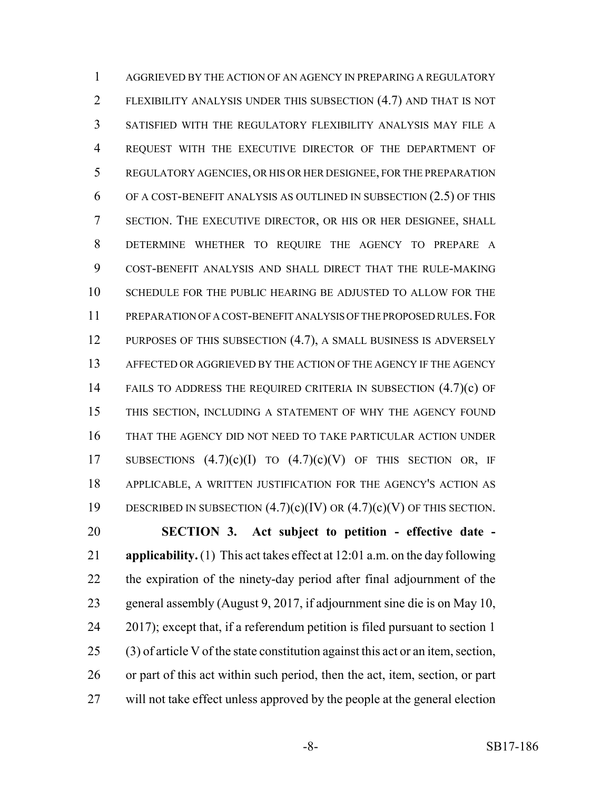AGGRIEVED BY THE ACTION OF AN AGENCY IN PREPARING A REGULATORY FLEXIBILITY ANALYSIS UNDER THIS SUBSECTION (4.7) AND THAT IS NOT SATISFIED WITH THE REGULATORY FLEXIBILITY ANALYSIS MAY FILE A REQUEST WITH THE EXECUTIVE DIRECTOR OF THE DEPARTMENT OF REGULATORY AGENCIES, OR HIS OR HER DESIGNEE, FOR THE PREPARATION OF A COST-BENEFIT ANALYSIS AS OUTLINED IN SUBSECTION (2.5) OF THIS SECTION. THE EXECUTIVE DIRECTOR, OR HIS OR HER DESIGNEE, SHALL DETERMINE WHETHER TO REQUIRE THE AGENCY TO PREPARE A COST-BENEFIT ANALYSIS AND SHALL DIRECT THAT THE RULE-MAKING SCHEDULE FOR THE PUBLIC HEARING BE ADJUSTED TO ALLOW FOR THE PREPARATION OF A COST-BENEFIT ANALYSIS OF THE PROPOSED RULES.FOR 12 PURPOSES OF THIS SUBSECTION (4.7), A SMALL BUSINESS IS ADVERSELY AFFECTED OR AGGRIEVED BY THE ACTION OF THE AGENCY IF THE AGENCY 14 FAILS TO ADDRESS THE REQUIRED CRITERIA IN SUBSECTION (4.7)(c) OF THIS SECTION, INCLUDING A STATEMENT OF WHY THE AGENCY FOUND THAT THE AGENCY DID NOT NEED TO TAKE PARTICULAR ACTION UNDER 17 SUBSECTIONS  $(4.7)(c)(I)$  TO  $(4.7)(c)(V)$  OF THIS SECTION OR, IF APPLICABLE, A WRITTEN JUSTIFICATION FOR THE AGENCY'S ACTION AS 19 DESCRIBED IN SUBSECTION  $(4.7)(c)(IV)$  OR  $(4.7)(c)(V)$  OF THIS SECTION. **SECTION 3. Act subject to petition - effective date -**

 **applicability.** (1) This act takes effect at 12:01 a.m. on the day following the expiration of the ninety-day period after final adjournment of the general assembly (August 9, 2017, if adjournment sine die is on May 10, 2017); except that, if a referendum petition is filed pursuant to section 1 (3) of article V of the state constitution against this act or an item, section, or part of this act within such period, then the act, item, section, or part will not take effect unless approved by the people at the general election